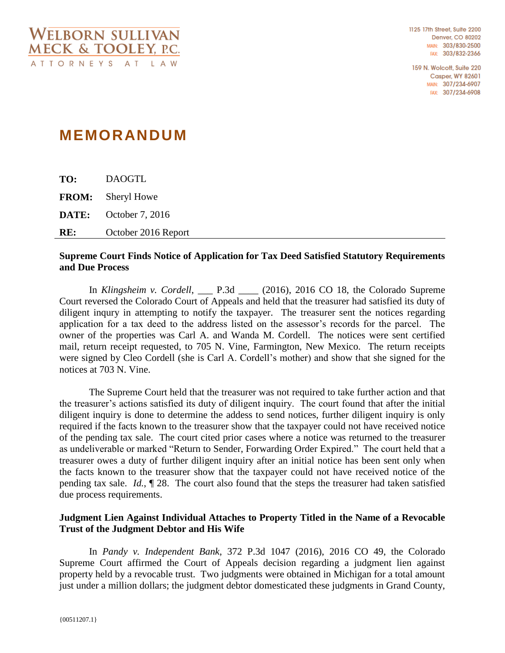159 N. Wolcott, Suite 220 **Casper, WY 82601** MAIN: 307/234-6907 FAX: 307/234-6908

## **MEMORANDUM**

**TO:** DAOGTL **FROM:** Sheryl Howe **DATE:** October 7, 2016 **RE:** October 2016 Report

## **Supreme Court Finds Notice of Application for Tax Deed Satisfied Statutory Requirements and Due Process**

In *Klingsheim v. Cordell*, \_\_\_ P.3d \_\_\_\_ (2016), 2016 CO 18, the Colorado Supreme Court reversed the Colorado Court of Appeals and held that the treasurer had satisfied its duty of diligent inqury in attempting to notify the taxpayer. The treasurer sent the notices regarding application for a tax deed to the address listed on the assessor's records for the parcel. The owner of the properties was Carl A. and Wanda M. Cordell. The notices were sent certified mail, return receipt requested, to 705 N. Vine, Farmington, New Mexico. The return receipts were signed by Cleo Cordell (she is Carl A. Cordell's mother) and show that she signed for the notices at 703 N. Vine.

The Supreme Court held that the treasurer was not required to take further action and that the treasurer's actions satisfied its duty of diligent inquiry. The court found that after the initial diligent inquiry is done to determine the addess to send notices, further diligent inquiry is only required if the facts known to the treasurer show that the taxpayer could not have received notice of the pending tax sale. The court cited prior cases where a notice was returned to the treasurer as undeliverable or marked "Return to Sender, Forwarding Order Expired." The court held that a treasurer owes a duty of further diligent inquiry after an initial notice has been sent only when the facts known to the treasurer show that the taxpayer could not have received notice of the pending tax sale. *Id.*, ¶ 28. The court also found that the steps the treasurer had taken satisfied due process requirements.

## **Judgment Lien Against Individual Attaches to Property Titled in the Name of a Revocable Trust of the Judgment Debtor and His Wife**

In *Pandy v. Independent Bank*, 372 P.3d 1047 (2016), 2016 CO 49, the Colorado Supreme Court affirmed the Court of Appeals decision regarding a judgment lien against property held by a revocable trust. Two judgments were obtained in Michigan for a total amount just under a million dollars; the judgment debtor domesticated these judgments in Grand County,